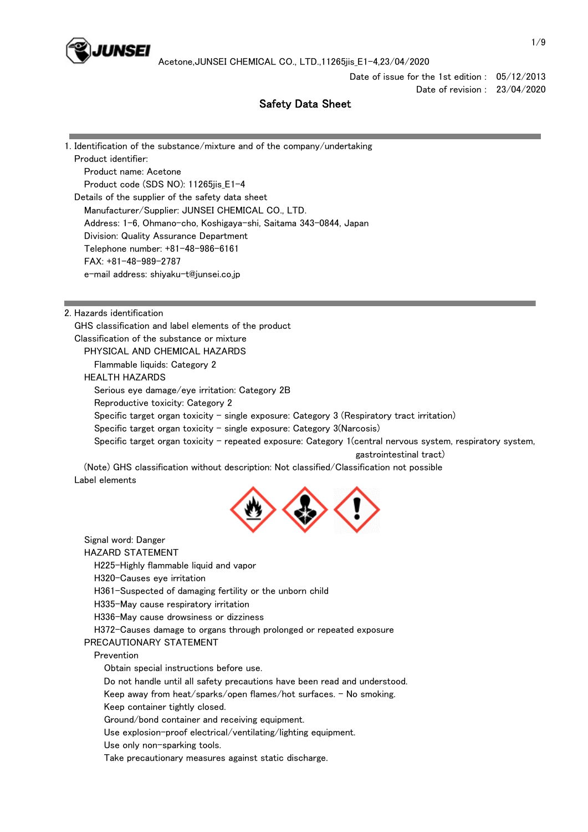

Date of issue for the 1st edition : 05/12/2013 Date of revision : 23/04/2020

# Safety Data Sheet

1. Identification of the substance/mixture and of the company/undertaking Product identifier: Product name: Acetone Product code (SDS NO): 11265jis\_E1-4 Details of the supplier of the safety data sheet Manufacturer/Supplier: JUNSEI CHEMICAL CO., LTD. Address: 1-6, Ohmano-cho, Koshigaya-shi, Saitama 343-0844, Japan Division: Quality Assurance Department Telephone number: +81-48-986-6161 FAX: +81-48-989-2787 e-mail address: shiyaku-t@junsei.co.jp

2. Hazards identification

 GHS classification and label elements of the product Classification of the substance or mixture PHYSICAL AND CHEMICAL HAZARDS Flammable liquids: Category 2 HEALTH HAZARDS Serious eye damage/eye irritation: Category 2B Reproductive toxicity: Category 2 Specific target organ toxicity - single exposure: Category  $3$  (Respiratory tract irritation) Specific target organ toxicity  $-$  single exposure: Category 3(Narcosis) Specific target organ toxicity - repeated exposure: Category 1(central nervous system, respiratory system, gastrointestinal tract)

 (Note) GHS classification without description: Not classified/Classification not possible Label elements



 Signal word: Danger HAZARD STATEMENT

H225-Highly flammable liquid and vapor

H320-Causes eye irritation

H361-Suspected of damaging fertility or the unborn child

H335-May cause respiratory irritation

H336-May cause drowsiness or dizziness

H372-Causes damage to organs through prolonged or repeated exposure

PRECAUTIONARY STATEMENT

Prevention

Obtain special instructions before use.

Do not handle until all safety precautions have been read and understood.

Keep away from heat/sparks/open flames/hot surfaces. - No smoking.

Keep container tightly closed.

Ground/bond container and receiving equipment.

Use explosion-proof electrical/ventilating/lighting equipment.

Use only non-sparking tools.

Take precautionary measures against static discharge.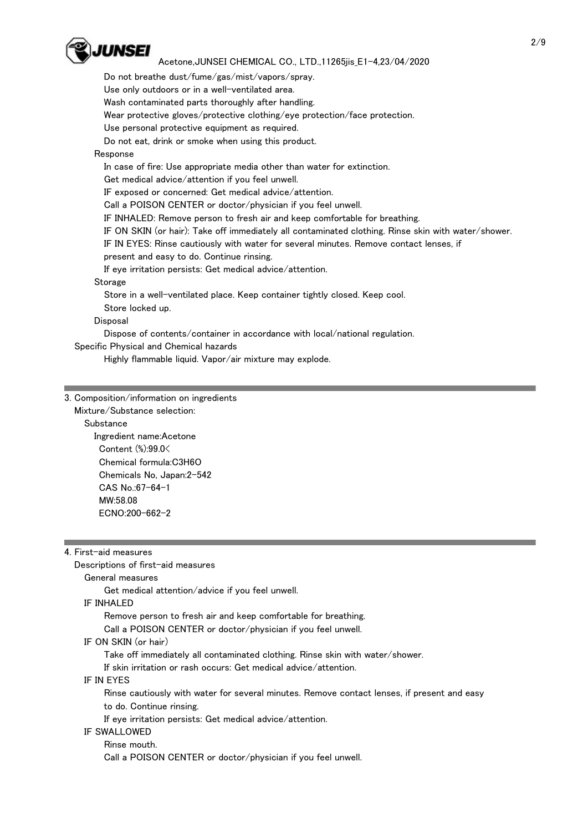

 Do not breathe dust/fume/gas/mist/vapors/spray. Use only outdoors or in a well-ventilated area. Wash contaminated parts thoroughly after handling. Wear protective gloves/protective clothing/eye protection/face protection. Use personal protective equipment as required. Do not eat, drink or smoke when using this product. Response In case of fire: Use appropriate media other than water for extinction. Get medical advice/attention if you feel unwell. IF exposed or concerned: Get medical advice/attention. Call a POISON CENTER or doctor/physician if you feel unwell. IF INHALED: Remove person to fresh air and keep comfortable for breathing. IF ON SKIN (or hair): Take off immediately all contaminated clothing. Rinse skin with water/shower. IF IN EYES: Rinse cautiously with water for several minutes. Remove contact lenses, if present and easy to do. Continue rinsing. If eye irritation persists: Get medical advice/attention. Storage Store in a well-ventilated place. Keep container tightly closed. Keep cool. Store locked up. **Disposal**  Dispose of contents/container in accordance with local/national regulation. Specific Physical and Chemical hazards Highly flammable liquid. Vapor/air mixture may explode.

# 3. Composition/information on ingredients

 Mixture/Substance selection: **Substance**  Ingredient name:Acetone Content (%):99.0< Chemical formula:C3H6O Chemicals No, Japan:2-542 CAS No.:67-64-1 MW:58.08 ECNO:200-662-2

|  | 4. First-aid measures |
|--|-----------------------|
|  |                       |

Descriptions of first-aid measures

## General measures

Get medical attention/advice if you feel unwell.

IF INHALED

Remove person to fresh air and keep comfortable for breathing.

Call a POISON CENTER or doctor/physician if you feel unwell.

IF ON SKIN (or hair)

Take off immediately all contaminated clothing. Rinse skin with water/shower.

If skin irritation or rash occurs: Get medical advice/attention.

IF IN EYES

 Rinse cautiously with water for several minutes. Remove contact lenses, if present and easy to do. Continue rinsing.

If eye irritation persists: Get medical advice/attention.

#### IF SWALLOWED

 Rinse mouth. Call a POISON CENTER or doctor/physician if you feel unwell.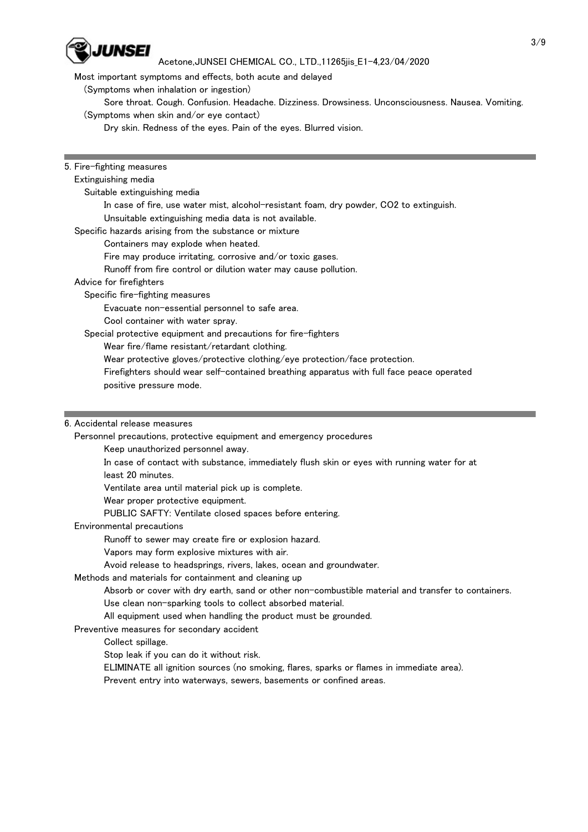

Most important symptoms and effects, both acute and delayed

(Symptoms when inhalation or ingestion)

 Sore throat. Cough. Confusion. Headache. Dizziness. Drowsiness. Unconsciousness. Nausea. Vomiting. (Symptoms when skin and/or eye contact)

Dry skin. Redness of the eyes. Pain of the eyes. Blurred vision.

5. Fire-fighting measures

#### Extinguishing media

Suitable extinguishing media

In case of fire, use water mist, alcohol-resistant foam, dry powder, CO2 to extinguish.

Unsuitable extinguishing media data is not available.

Specific hazards arising from the substance or mixture

Containers may explode when heated.

Fire may produce irritating, corrosive and/or toxic gases.

Runoff from fire control or dilution water may cause pollution.

### Advice for firefighters

Specific fire-fighting measures

Evacuate non-essential personnel to safe area.

Cool container with water spray.

Special protective equipment and precautions for fire-fighters

Wear fire/flame resistant/retardant clothing.

Wear protective gloves/protective clothing/eye protection/face protection.

 Firefighters should wear self-contained breathing apparatus with full face peace operated positive pressure mode.

### 6. Accidental release measures

Personnel precautions, protective equipment and emergency procedures

Keep unauthorized personnel away.

 In case of contact with substance, immediately flush skin or eyes with running water for at least 20 minutes.

Ventilate area until material pick up is complete.

Wear proper protective equipment.

PUBLIC SAFTY: Ventilate closed spaces before entering.

### Environmental precautions

Runoff to sewer may create fire or explosion hazard.

Vapors may form explosive mixtures with air.

Avoid release to headsprings, rivers, lakes, ocean and groundwater.

### Methods and materials for containment and cleaning up

Absorb or cover with dry earth, sand or other non-combustible material and transfer to containers.

Use clean non-sparking tools to collect absorbed material.

All equipment used when handling the product must be grounded.

## Preventive measures for secondary accident

Collect spillage.

Stop leak if you can do it without risk.

ELIMINATE all ignition sources (no smoking, flares, sparks or flames in immediate area).

Prevent entry into waterways, sewers, basements or confined areas.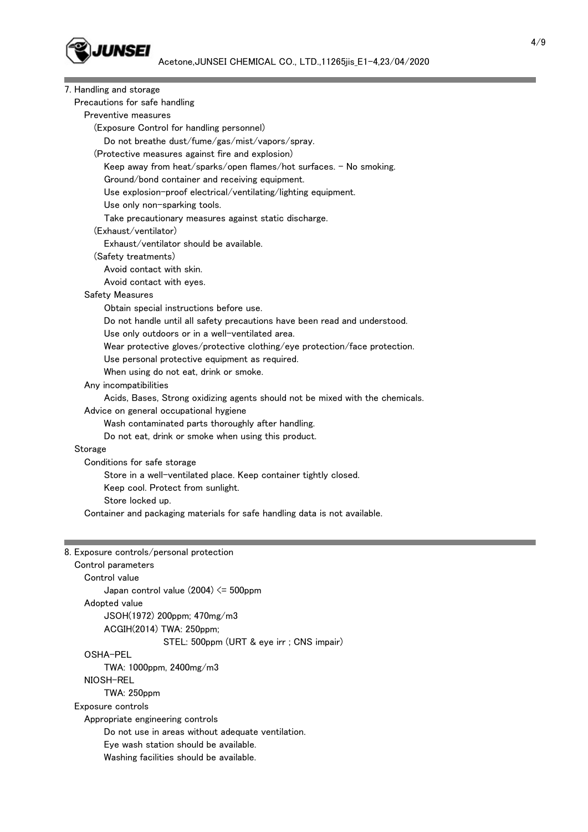

| 7. Handling and storage                                                       |  |
|-------------------------------------------------------------------------------|--|
| Precautions for safe handling                                                 |  |
| Preventive measures                                                           |  |
| (Exposure Control for handling personnel)                                     |  |
| Do not breathe dust/fume/gas/mist/vapors/spray.                               |  |
| (Protective measures against fire and explosion)                              |  |
| Keep away from heat/sparks/open flames/hot surfaces. - No smoking.            |  |
| Ground/bond container and receiving equipment.                                |  |
| Use explosion-proof electrical/ventilating/lighting equipment.                |  |
| Use only non-sparking tools.                                                  |  |
| Take precautionary measures against static discharge.                         |  |
| (Exhaust/ventilator)                                                          |  |
| Exhaust/ventilator should be available.                                       |  |
| (Safety treatments)                                                           |  |
| Avoid contact with skin.                                                      |  |
| Avoid contact with eyes.                                                      |  |
| <b>Safety Measures</b>                                                        |  |
| Obtain special instructions before use.                                       |  |
| Do not handle until all safety precautions have been read and understood.     |  |
| Use only outdoors or in a well-ventilated area.                               |  |
| Wear protective gloves/protective clothing/eye protection/face protection.    |  |
| Use personal protective equipment as required.                                |  |
| When using do not eat, drink or smoke.                                        |  |
| Any incompatibilities                                                         |  |
| Acids, Bases, Strong oxidizing agents should not be mixed with the chemicals. |  |
| Advice on general occupational hygiene                                        |  |
| Wash contaminated parts thoroughly after handling.                            |  |
| Do not eat, drink or smoke when using this product.                           |  |
| Storage                                                                       |  |
| Conditions for safe storage                                                   |  |
| Store in a well-ventilated place. Keep container tightly closed.              |  |
| Keep cool. Protect from sunlight.                                             |  |
| Store locked up.                                                              |  |
| Container and packaging materials for safe handling data is not available.    |  |
|                                                                               |  |
|                                                                               |  |
| 8. Exposure controls/personal protection                                      |  |
| Control parameters                                                            |  |
| Control value                                                                 |  |
| Japan control value $(2004) \le 500$ ppm                                      |  |
| Adopted value                                                                 |  |
| JSOH(1972) 200ppm; 470mg/m3                                                   |  |
| ACGIH(2014) TWA: 250ppm;                                                      |  |
| STEL: 500ppm (URT & eye irr ; CNS impair)                                     |  |
| OSHA-PEL                                                                      |  |
| TWA: 1000ppm, 2400mg/m3                                                       |  |
| NIOSH-REL                                                                     |  |
| <b>TWA: 250ppm</b>                                                            |  |
| Exposure controls                                                             |  |

Appropriate engineering controls

Do not use in areas without adequate ventilation.

Eye wash station should be available.

Washing facilities should be available.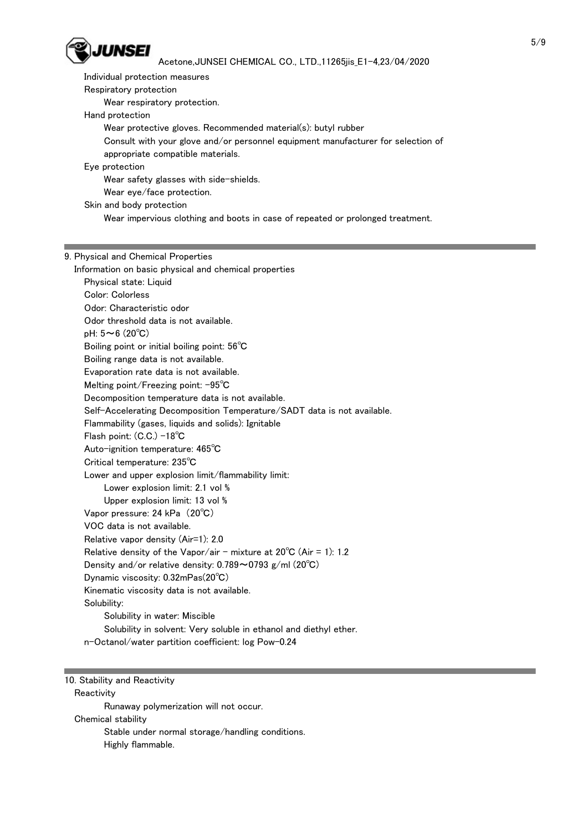

 Individual protection measures Respiratory protection Wear respiratory protection. Hand protection Wear protective gloves. Recommended material(s): butyl rubber Consult with your glove and/or personnel equipment manufacturer for selection of appropriate compatible materials. Eye protection Wear safety glasses with side-shields. Wear eye/face protection.

Skin and body protection

Wear impervious clothing and boots in case of repeated or prolonged treatment.

#### 9. Physical and Chemical Properties

 Information on basic physical and chemical properties Physical state: Liquid Color: Colorless Odor: Characteristic odor Odor threshold data is not available. pH: 5~6 (20℃) Boiling point or initial boiling point: 56℃ Boiling range data is not available. Evaporation rate data is not available. Melting point/Freezing point: -95℃ Decomposition temperature data is not available. Self-Accelerating Decomposition Temperature/SADT data is not available. Flammability (gases, liquids and solids): Ignitable Flash point: (C.C.) -18℃ Auto-ignition temperature: 465℃ Critical temperature: 235℃ Lower and upper explosion limit/flammability limit: Lower explosion limit: 2.1 vol % Upper explosion limit: 13 vol % Vapor pressure: 24 kPa (20℃) VOC data is not available. Relative vapor density (Air=1): 2.0 Relative density of the Vapor/air - mixture at  $20^{\circ}$ C (Air = 1): 1.2 Density and/or relative density: 0.789~0793 g/ml (20℃) Dynamic viscosity: 0.32mPas(20℃) Kinematic viscosity data is not available. Solubility: Solubility in water: Miscible Solubility in solvent: Very soluble in ethanol and diethyl ether. n-Octanol/water partition coefficient: log Pow-0.24

10. Stability and Reactivity

**Reactivity**  Runaway polymerization will not occur. Chemical stability Stable under normal storage/handling conditions. Highly flammable.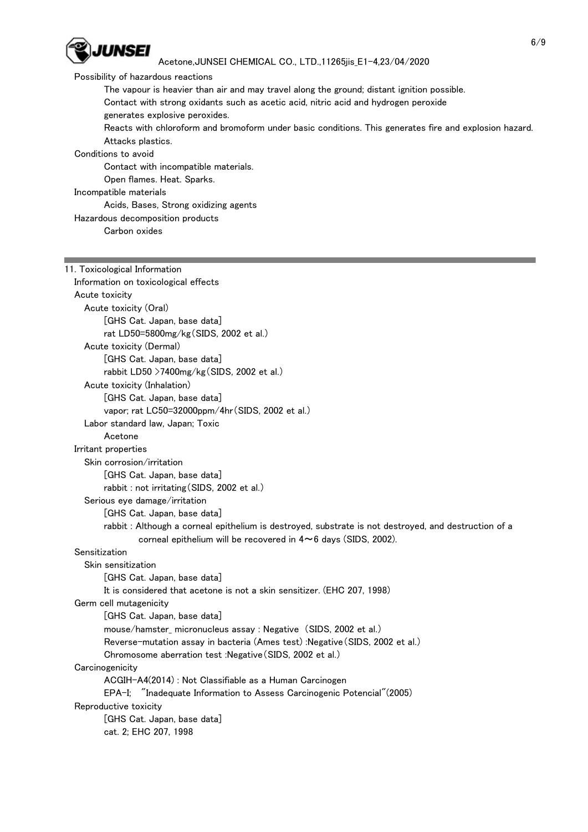

## Possibility of hazardous reactions

The vapour is heavier than air and may travel along the ground; distant ignition possible.

 Contact with strong oxidants such as acetic acid, nitric acid and hydrogen peroxide generates explosive peroxides.

 Reacts with chloroform and bromoform under basic conditions. This generates fire and explosion hazard. Attacks plastics.

## Conditions to avoid

Contact with incompatible materials.

Open flames. Heat. Sparks.

## Incompatible materials

#### Acids, Bases, Strong oxidizing agents

Hazardous decomposition products

Carbon oxides

# 11. Toxicological Information

| Information on toxicological effects                                                                  |
|-------------------------------------------------------------------------------------------------------|
| Acute toxicity                                                                                        |
| Acute toxicity (Oral)                                                                                 |
| [GHS Cat. Japan, base data]                                                                           |
| rat LD50=5800mg/kg(SIDS, 2002 et al.)                                                                 |
| Acute toxicity (Dermal)                                                                               |
| [GHS Cat. Japan, base data]                                                                           |
| rabbit LD50 >7400mg/kg(SIDS, 2002 et al.)                                                             |
| Acute toxicity (Inhalation)                                                                           |
| [GHS Cat. Japan, base data]                                                                           |
| vapor; rat LC50=32000ppm/4hr(SIDS, 2002 et al.)                                                       |
| Labor standard law, Japan; Toxic                                                                      |
| Acetone                                                                                               |
| Irritant properties                                                                                   |
| Skin corrosion/irritation                                                                             |
| [GHS Cat. Japan, base data]                                                                           |
| rabbit : not irritating (SIDS, 2002 et al.)                                                           |
| Serious eye damage/irritation                                                                         |
| [GHS Cat. Japan, base data]                                                                           |
| rabbit : Although a corneal epithelium is destroyed, substrate is not destroyed, and destruction of a |
| corneal epithelium will be recovered in $4 \sim 6$ days (SIDS, 2002).                                 |
| Sensitization                                                                                         |
| Skin sensitization                                                                                    |
| [GHS Cat. Japan, base data]                                                                           |
| It is considered that acetone is not a skin sensitizer. (EHC 207, 1998)                               |
| Germ cell mutagenicity                                                                                |
| [GHS Cat. Japan, base data]                                                                           |
| mouse/hamster_micronucleus assay : Negative (SIDS, 2002 et al.)                                       |
| Reverse-mutation assay in bacteria (Ames test) : Negative (SIDS, 2002 et al.)                         |
| Chromosome aberration test : Negative (SIDS, 2002 et al.)                                             |
| Carcinogenicity                                                                                       |
| ACGIH-A4(2014) : Not Classifiable as a Human Carcinogen                                               |
| EPA-I; "Inadequate Information to Assess Carcinogenic Potencial" (2005)                               |
| Reproductive toxicity                                                                                 |
| [GHS Cat. Japan, base data]                                                                           |
| cat. 2; EHC 207, 1998                                                                                 |
|                                                                                                       |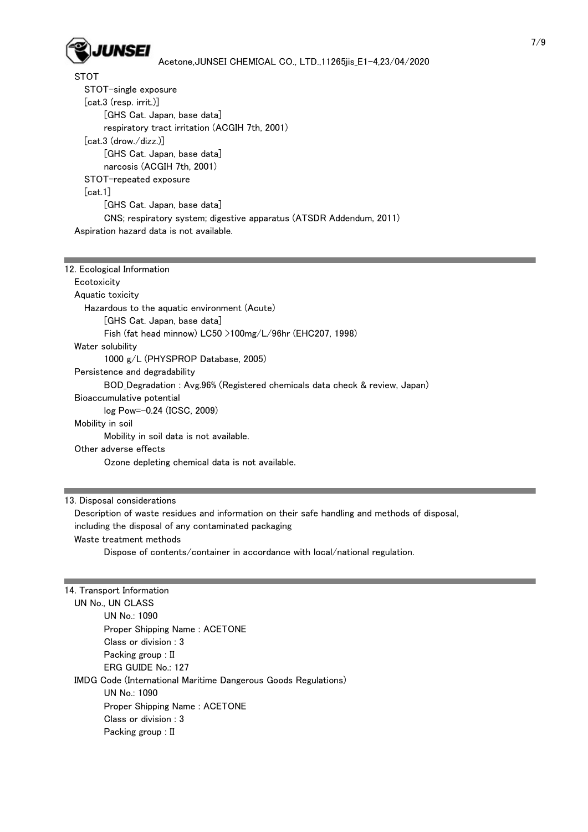

**STOT**  STOT-single exposure [cat.3 (resp. irrit.)] [GHS Cat. Japan, base data] respiratory tract irritation (ACGIH 7th, 2001) [cat.3 (drow./dizz.)] [GHS Cat. Japan, base data] narcosis (ACGIH 7th, 2001) STOT-repeated exposure [cat.1] [GHS Cat. Japan, base data] CNS; respiratory system; digestive apparatus (ATSDR Addendum, 2011) Aspiration hazard data is not available.

| 12. Ecological Information                                                 |  |  |  |  |
|----------------------------------------------------------------------------|--|--|--|--|
| Ecotoxicity                                                                |  |  |  |  |
| Aquatic toxicity                                                           |  |  |  |  |
| Hazardous to the aquatic environment (Acute)                               |  |  |  |  |
| [GHS Cat. Japan, base data]                                                |  |  |  |  |
| Fish (fat head minnow) LC50 $>$ 100mg/L/96hr (EHC207, 1998)                |  |  |  |  |
| Water solubility                                                           |  |  |  |  |
| 1000 g/L (PHYSPROP Database, 2005)                                         |  |  |  |  |
| Persistence and degradability                                              |  |  |  |  |
| BOD_Degradation: Avg.96% (Registered chemicals data check & review, Japan) |  |  |  |  |
| Bioaccumulative potential                                                  |  |  |  |  |
| log Pow=-0.24 (ICSC, 2009)                                                 |  |  |  |  |
| Mobility in soil                                                           |  |  |  |  |
| Mobility in soil data is not available.                                    |  |  |  |  |
| Other adverse effects                                                      |  |  |  |  |
| Ozone depleting chemical data is not available.                            |  |  |  |  |
|                                                                            |  |  |  |  |

### 13. Disposal considerations

 Description of waste residues and information on their safe handling and methods of disposal, including the disposal of any contaminated packaging Waste treatment methods Dispose of contents/container in accordance with local/national regulation.

## 14. Transport Information

 UN No., UN CLASS UN No.: 1090 Proper Shipping Name : ACETONE Class or division : 3 Packing group : II ERG GUIDE No.: 127 IMDG Code (International Maritime Dangerous Goods Regulations) UN No.: 1090 Proper Shipping Name : ACETONE Class or division : 3 Packing group : II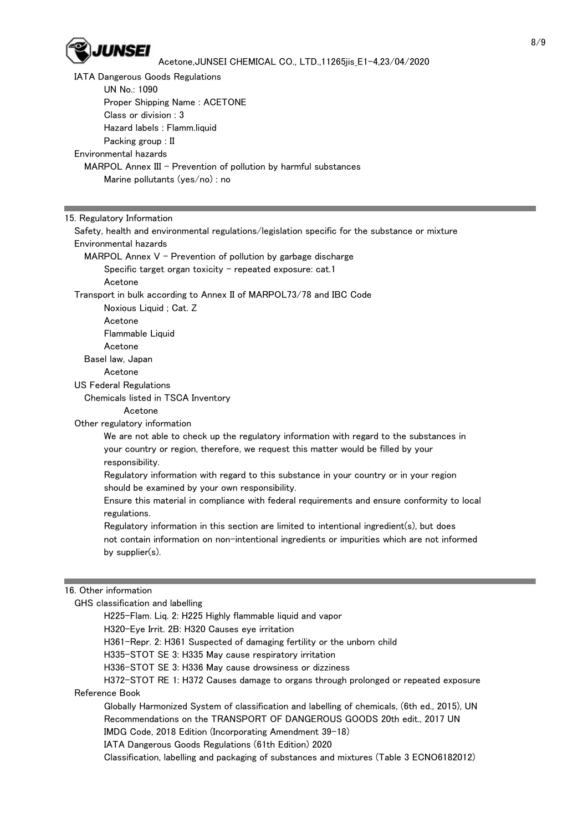

 IATA Dangerous Goods Regulations UN No.: 1090 Proper Shipping Name : ACETONE Class or division : 3 Hazard labels : Flamm.liquid Packing group : II Environmental hazards MARPOL Annex III - Prevention of pollution by harmful substances Marine pollutants (yes/no) : no

#### 15. Regulatory Information

 Safety, health and environmental regulations/legislation specific for the substance or mixture Environmental hazards MARPOL Annex  $V$  - Prevention of pollution by garbage discharge Specific target organ toxicity  $-$  repeated exposure: cat.1 Acetone Transport in bulk according to Annex II of MARPOL73/78 and IBC Code Noxious Liquid ; Cat. Z Acetone Flammable Liquid Acetone Basel law, Japan Acetone US Federal Regulations Chemicals listed in TSCA Inventory Acetone Other regulatory information We are not able to check up the regulatory information with regard to the substances in your country or region, therefore, we request this matter would be filled by your responsibility. Regulatory information with regard to this substance in your country or in your region should be examined by your own responsibility. Ensure this material in compliance with federal requirements and ensure conformity to local regulations. Regulatory information in this section are limited to intentional ingredient(s), but does not contain information on non-intentional ingredients or impurities which are not informed by supplier(s). 16. Other information GHS classification and labelling H225-Flam. Liq. 2: H225 Highly flammable liquid and vapor

- H320-Eye Irrit. 2B: H320 Causes eye irritation
- H361-Repr. 2: H361 Suspected of damaging fertility or the unborn child
- H335-STOT SE 3: H335 May cause respiratory irritation
- H336-STOT SE 3: H336 May cause drowsiness or dizziness

 H372-STOT RE 1: H372 Causes damage to organs through prolonged or repeated exposure Reference Book

 Globally Harmonized System of classification and labelling of chemicals, (6th ed., 2015), UN Recommendations on the TRANSPORT OF DANGEROUS GOODS 20th edit., 2017 UN IMDG Code, 2018 Edition (Incorporating Amendment 39-18)

IATA Dangerous Goods Regulations (61th Edition) 2020

Classification, labelling and packaging of substances and mixtures (Table 3 ECNO6182012)